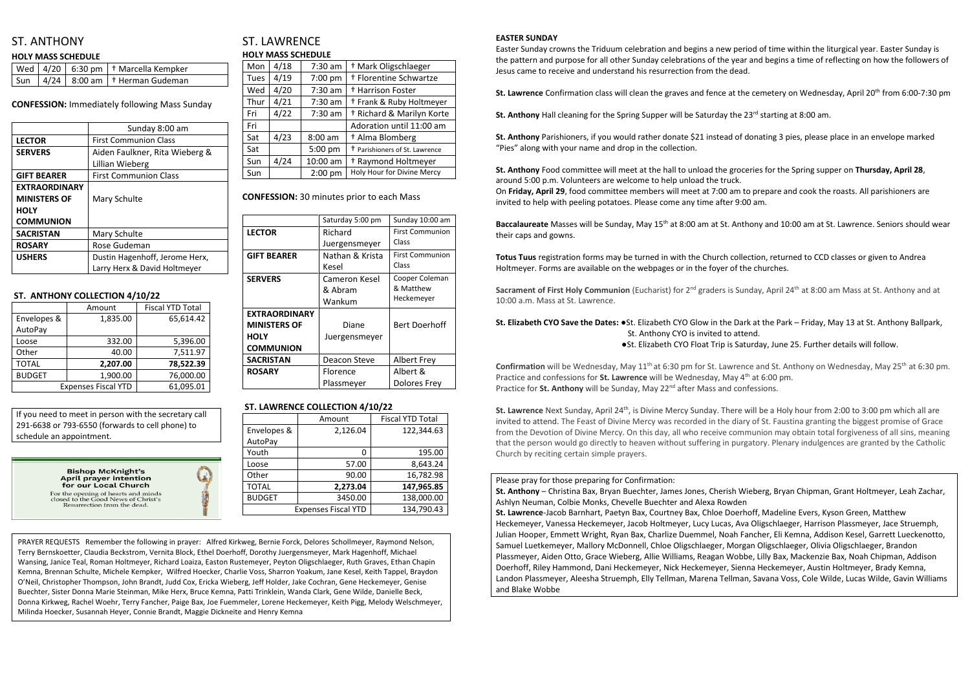# ST. ANTHONY

### **HOLY MASS SCHEDULE**

|  | $\sqrt{$ Wed $\sqrt{}$ 4/20 $\sqrt{}$ 6:30 pm $\sqrt{}$ + Marcella Kempker |
|--|----------------------------------------------------------------------------|
|  | $\sqrt{3}$ sun $\sqrt{4/24}$ 8:00 am $\sqrt{4}$ Herman Gudeman             |

**CONFESSION:** Immediately following Mass Sunday

|                      | Sunday 8:00 am                 |  |
|----------------------|--------------------------------|--|
| <b>LECTOR</b>        | <b>First Communion Class</b>   |  |
| <b>SERVERS</b>       | Aiden Faulkner, Rita Wieberg & |  |
|                      | Lillian Wieberg                |  |
| <b>GIFT BEARER</b>   | <b>First Communion Class</b>   |  |
| <b>EXTRAORDINARY</b> |                                |  |
| <b>MINISTERS OF</b>  | Mary Schulte                   |  |
| <b>HOLY</b>          |                                |  |
| <b>COMMUNION</b>     |                                |  |
| <b>SACRISTAN</b>     | Mary Schulte                   |  |
| <b>ROSARY</b>        | Rose Gudeman                   |  |
| <b>USHERS</b>        | Dustin Hagenhoff, Jerome Herx, |  |
|                      | Larry Herx & David Holtmeyer   |  |

### **ST. ANTHONY COLLECTION 4/10/22**

|                            | Amount   | <b>Fiscal YTD Total</b> |
|----------------------------|----------|-------------------------|
| Envelopes &                | 1,835.00 | 65,614.42               |
| AutoPay                    |          |                         |
| Loose                      | 332.00   | 5,396.00                |
| Other                      | 40.00    | 7,511.97                |
| <b>TOTAL</b>               | 2,207.00 | 78,522.39               |
| <b>BUDGET</b>              | 1,900.00 | 76,000.00               |
| <b>Expenses Fiscal YTD</b> |          | 61,095.01               |

# ST. LAWRENCE **HOLY MASS SCHEDULE**

| Mon  | 4/18 | $7:30$ am | <sup>†</sup> Mark Oligschlaeger           |  |  |
|------|------|-----------|-------------------------------------------|--|--|
| Tues | 4/19 | 7:00 pm   | † Florentine Schwartze                    |  |  |
| Wed  | 4/20 | $7:30$ am | <sup>†</sup> Harrison Foster              |  |  |
| Thur | 4/21 | $7:30$ am | <sup>†</sup> Frank & Ruby Holtmeyer       |  |  |
| Fri  | 4/22 | $7:30$ am | + Richard & Marilyn Korte                 |  |  |
| Fri  |      |           | Adoration until 11:00 am                  |  |  |
| Sat  | 4/23 | $8:00$ am | † Alma Blomberg                           |  |  |
| Sat  |      | 5:00 pm   | <sup>†</sup> Parishioners of St. Lawrence |  |  |
| Sun  | 4/24 | 10:00 am  | <sup>†</sup> Raymond Holtmeyer            |  |  |
| Sun  |      | $2:00$ pm | Holy Hour for Divine Mercy                |  |  |

**CONFESSION:** 30 minutes prior to each Mass

|                      | Saturday 5:00 pm | Sunday 10:00 am        |
|----------------------|------------------|------------------------|
| <b>LECTOR</b>        | Richard          | <b>First Communion</b> |
|                      | Juergensmeyer    | Class                  |
| <b>GIFT BEARER</b>   | Nathan & Krista  | <b>First Communion</b> |
|                      | Kesel            | Class                  |
| <b>SERVERS</b>       | Cameron Kesel    | Cooper Coleman         |
|                      | & Abram          | & Matthew              |
|                      | Wankum           | Heckemeyer             |
| <b>EXTRAORDINARY</b> |                  |                        |
| <b>MINISTERS OF</b>  | Diane            | <b>Bert Doerhoff</b>   |
| <b>HOLY</b>          | Juergensmeyer    |                        |
| <b>COMMUNION</b>     |                  |                        |
| <b>SACRISTAN</b>     | Deacon Steve     | <b>Albert Frey</b>     |
| <b>ROSARY</b>        | Florence         | Albert &               |
|                      | Plassmeyer       | <b>Dolores Frey</b>    |

## **ST. LAWRENCE COLLECTION 4/10/22**

|                            | Amount   | <b>Fiscal YTD Total</b> |
|----------------------------|----------|-------------------------|
| Envelopes &                | 2,126.04 | 122,344.63              |
| AutoPay                    |          |                         |
| Youth                      | 0        | 195.00                  |
| Loose                      | 57.00    | 8,643.24                |
| Other                      | 90.00    | 16,782.98               |
| <b>TOTAL</b>               | 2,273.04 | 147,965.85              |
| <b>BUDGET</b>              | 3450.00  | 138,000.00              |
| <b>Expenses Fiscal YTD</b> |          | 134,790.43              |

**Sacrament of First Holy Communion** (Eucharist) for 2<sup>nd</sup> graders is Sunday, April 24<sup>th</sup> at 8:00 am Mass at St. Anthony and at 10:00 a.m. Mass at St. Lawrence.

### **EASTER SUNDAY**

Easter Sunday crowns the Triduum celebration and begins a new period of time within the liturgical year. Easter Sunday is the pattern and purpose for all other Sunday celebrations of the year and begins a time of reflecting on how the followers of Jesus came to receive and understand his resurrection from the dead.

**St. Lawrence** Confirmation class will clean the graves and fence at the cemetery on Wednesday, April 20<sup>th</sup> from 6:00-7:30 pm

**St. Anthony** Hall cleaning for the Spring Supper will be Saturday the 23<sup>rd</sup> starting at 8:00 am.

**St. Lawrence** Next Sunday, April 24<sup>th</sup>, is Divine Mercy Sunday. There will be a Holy hour from 2:00 to 3:00 pm which all are invited to attend. The Feast of Divine Mercy was recorded in the diary of St. Faustina granting the biggest promise of Grace from the Devotion of Divine Mercy. On this day, all who receive communion may obtain total forgiveness of all sins, meaning that the person would go directly to heaven without suffering in purgatory. Plenary indulgences are granted by the Catholic Church by reciting certain simple prayers.

**St. Anthony** Parishioners, if you would rather donate \$21 instead of donating 3 pies, please place in an envelope marked "Pies" along with your name and drop in the collection.

**St. Anthony** Food committee will meet at the hall to unload the groceries for the Spring supper on **Thursday, April 28**, around 5:00 p.m. Volunteers are welcome to help unload the truck. On **Friday, April 29**, food committee members will meet at 7:00 am to prepare and cook the roasts. All parishioners are invited to help with peeling potatoes. Please come any time after 9:00 am.

**Baccalaureate** Masses will be Sunday, May 15th at 8:00 am at St. Anthony and 10:00 am at St. Lawrence. Seniors should wear their caps and gowns.

**Totus Tuus** registration forms may be turned in with the Church collection, returned to CCD classes or given to Andrea Holtmeyer. Forms are available on the webpages or in the foyer of the churches.

### **St. Elizabeth CYO Save the Dates:** ●St. Elizabeth CYO Glow in the Dark at the Park – Friday, May 13 at St. Anthony Ballpark, St. Anthony CYO is invited to attend. ●St. Elizabeth CYO Float Trip is Saturday, June 25. Further details will follow.

Confirmation will be Wednesday, May 11<sup>th</sup> at 6:30 pm for St. Lawrence and St. Anthony on Wednesday, May 25<sup>th</sup> at 6:30 pm. Practice and confessions for **St. Lawrence** will be Wednesday, May 4<sup>th</sup> at 6:00 pm. Practice for **St. Anthony** will be Sunday, May 22<sup>nd</sup> after Mass and confessions.

Please pray for those preparing for Confirmation:

**St. Anthony** – Christina Bax, Bryan Buechter, James Jones, Cherish Wieberg, Bryan Chipman, Grant Holtmeyer, Leah Zachar, Ashlyn Neuman, Colbie Monks, Chevelle Buechter and Alexa Rowden **St. Lawrence**-Jacob Barnhart, Paetyn Bax, Courtney Bax, Chloe Doerhoff, Madeline Evers, Kyson Green, Matthew Heckemeyer, Vanessa Heckemeyer, Jacob Holtmeyer, Lucy Lucas, Ava Oligschlaeger, Harrison Plassmeyer, Jace Struemph, Julian Hooper, Emmett Wright, Ryan Bax, Charlize Duemmel, Noah Fancher, Eli Kemna, Addison Kesel, Garrett Lueckenotto, Samuel Luetkemeyer, Mallory McDonnell, Chloe Oligschlaeger, Morgan Oligschlaeger, Olivia Oligschlaeger, Brandon Plassmeyer, Aiden Otto, Grace Wieberg, Allie Williams, Reagan Wobbe, Lilly Bax, Mackenzie Bax, Noah Chipman, Addison Doerhoff, Riley Hammond, Dani Heckemeyer, Nick Heckemeyer, Sienna Heckemeyer, Austin Holtmeyer, Brady Kemna, Landon Plassmeyer, Aleesha Struemph, Elly Tellman, Marena Tellman, Savana Voss, Cole Wilde, Lucas Wilde, Gavin Williams and Blake Wobbe

If you need to meet in person with the secretary call 291-6638 or 793-6550 (forwards to cell phone) to schedule an appointment.

> **Bishop McKnight's** April prayer intention for our Local Church For the opening of hearts and minds<br>closed to the Good News of Christ's<br>Resurrection from the dead.



PRAYER REQUESTS Remember the following in prayer: Alfred Kirkweg, Bernie Forck, Delores Schollmeyer, Raymond Nelson, Terry Bernskoetter, Claudia Beckstrom, Vernita Block, Ethel Doerhoff, Dorothy Juergensmeyer, Mark Hagenhoff, Michael Wansing, Janice Teal, Roman Holtmeyer, Richard Loaiza, Easton Rustemeyer, Peyton Oligschlaeger, Ruth Graves, Ethan Chapin Kemna, Brennan Schulte, Michele Kempker, Wilfred Hoecker, Charlie Voss, Sharron Yoakum, Jane Kesel, Keith Tappel, Braydon O'Neil, Christopher Thompson, John Brandt, Judd Cox, Ericka Wieberg, Jeff Holder, Jake Cochran, Gene Heckemeyer, Genise Buechter, Sister Donna Marie Steinman, Mike Herx, Bruce Kemna, Patti Trinklein, Wanda Clark, Gene Wilde, Danielle Beck, Donna Kirkweg, Rachel Woehr, Terry Fancher, Paige Bax, Joe Fuemmeler, Lorene Heckemeyer, Keith Pigg, Melody Welschmeyer, Milinda Hoecker, Susannah Heyer, Connie Brandt, Maggie Dickneite and Henry Kemna